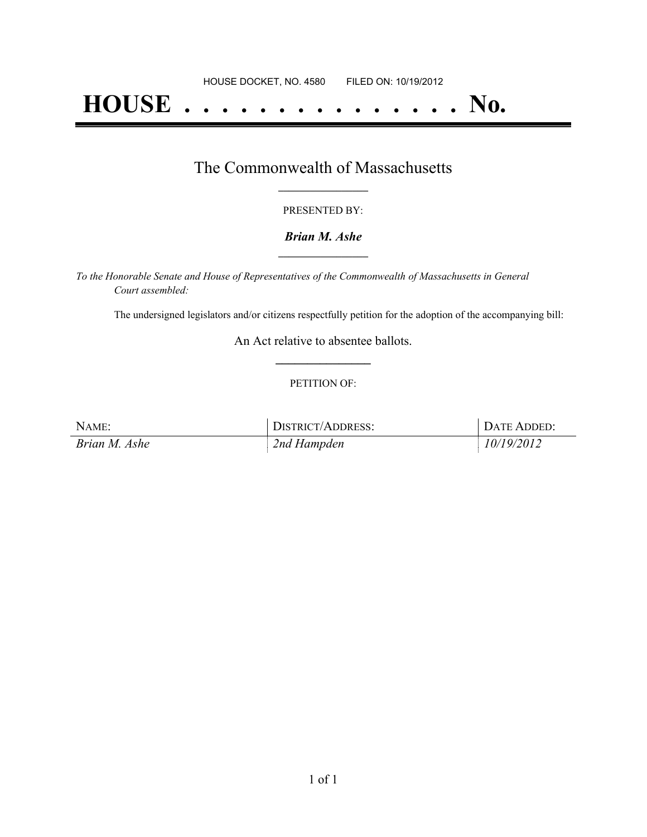# **HOUSE . . . . . . . . . . . . . . . No.**

### The Commonwealth of Massachusetts **\_\_\_\_\_\_\_\_\_\_\_\_\_\_\_\_\_**

#### PRESENTED BY:

#### *Brian M. Ashe* **\_\_\_\_\_\_\_\_\_\_\_\_\_\_\_\_\_**

*To the Honorable Senate and House of Representatives of the Commonwealth of Massachusetts in General Court assembled:*

The undersigned legislators and/or citizens respectfully petition for the adoption of the accompanying bill:

An Act relative to absentee ballots. **\_\_\_\_\_\_\_\_\_\_\_\_\_\_\_**

#### PETITION OF:

| NAME:         | DISTRICT/ADDRESS: | DATE ADDED: |
|---------------|-------------------|-------------|
| Brian M. Ashe | 2nd Hampden       | 10/19/2012  |